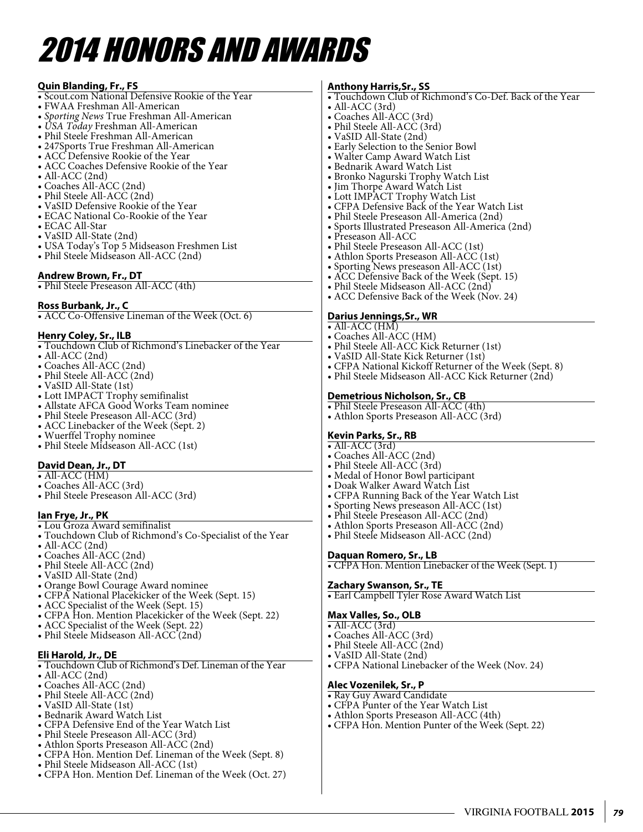# 2014 Honors and awards

#### **Quin Blanding, Fr., FS** • Scout.com National Defensive Rookie of the Year • FWAA Freshman All-American • *Sporting News* True Freshman All-American • *USA Today* Freshman All-American • Phil Steele Freshman All-American • 247Sports True Freshman All-American • ACC Defensive Rookie of the Year • ACC Coaches Defensive Rookie of the Year • All-ACC (2nd) • Coaches All-ACC (2nd) • Phil Steele All-ACC (2nd) • VaSID Defensive Rookie of the Year • ECAC National Co-Rookie of the Year • ECAC All-Star • VaSID All-State (2nd) • USA Today's Top 5 Midseason Freshmen List • Phil Steele Midseason All-ACC (2nd) **Andrew Brown, Fr., DT** • Phil Steele Preseason All-ACC (4th) • All-ACC (3rd) • Coaches All-ACC (3rd) • Phil Steele All-ACC (3rd) • VaSID All-State (2nd) • Early Selection to the Senior Bowl • Walter Camp Award Watch List • Bednarik Award Watch List • Bronko Nagurski Trophy Watch List • Jim Thorpe Award Watch List • Lott IMPACT Trophy Watch List • CFPA Defensive Back of the Year Watch List • Phil Steele Preseason All-America (2nd) • Sports Illustrated Preseason All-America (2nd) • Preseason All-ACC • Phil Steele Preseason All-ACC (1st) • Athlon Sports Preseason All-ACC (1st) • Sporting News preseason All-ACC (1st) • ACC Defensive Back of the Week (Sept. 15)

#### **Ross Burbank, Jr., C**

• ACC Co-Offensive Lineman of the Week (Oct. 6)

#### **Henry Coley, Sr., ILB**

- Touchdown Club of Richmond's Linebacker of the Year
- All-ACC (2nd)
- Coaches All-ACC (2nd)
- Phil Steele All-ACC (2nd)
- VaSID All-State (1st)
- Lott IMPACT Trophy semifinalist
- Allstate AFCA Good Works Team nominee
- Phil Steele Preseason All-ACC (3rd)
- ACC Linebacker of the Week (Sept. 2)
- Wuerffel Trophy nominee
- Phil Steele Midseason All-ACC (1st)

#### **David Dean, Jr., DT**

- All-ACC (HM)
- Coaches All-ACC (3rd)
- Phil Steele Preseason All-ACC (3rd)

#### **Ian Frye, Jr., PK**

• Lou Groza Award semifinalist

- Touchdown Club of Richmond's Co-Specialist of the Year
- All-ACC (2nd)
- Coaches All-ACC (2nd)
- Phil Steele All-ACC (2nd)
- VaSID All-State (2nd)
- Orange Bowl Courage Award nominee
- CFPA National Placekicker of the Week (Sept. 15)
- ACC Specialist of the Week (Sept. 15)
- CFPA Hon. Mention Placekicker of the Week (Sept. 22)
- ACC Specialist of the Week (Sept. 22)
- Phil Steele Midseason All-ACC (2nd)

#### **Eli Harold, Jr., DE**

- Touchdown Club of Richmond's Def. Lineman of the Year
- All-ACC (2nd)
- Coaches All-ACC (2nd)
- Phil Steele All-ACC (2nd)
- VaSID All-State (1st)
- Bednarik Award Watch List
- CFPA Defensive End of the Year Watch List
- Phil Steele Preseason All-ACC (3rd)
- Athlon Sports Preseason All-ACC (2nd)
- CFPA Hon. Mention Def. Lineman of the Week (Sept. 8)
- Phil Steele Midseason All-ACC (1st)
- CFPA Hon. Mention Def. Lineman of the Week (Oct. 27)

#### **Anthony Harris,Sr., SS**

• Touchdown Club of Richmond's Co-Def. Back of the Year

- Phil Steele Midseason All-ACC (2nd)
- ACC Defensive Back of the Week (Nov. 24)

#### **Darius Jennings,Sr., WR**

- All-ACC (HM)
- Coaches All-ACC (HM)
- Phil Steele All-ACC Kick Returner (1st)
- VaSID All-State Kick Returner (1st)
- CFPA National Kickoff Returner of the Week (Sept. 8)
- Phil Steele Midseason All-ACC Kick Returner (2nd)

#### **Demetrious Nicholson, Sr., CB**

- Phil Steele Preseason All-ACC (4th)
- Athlon Sports Preseason All-ACC (3rd)

#### **Kevin Parks, Sr., RB**

- All-ACC  $(3rd)$
- Coaches All-ACC (2nd)
- Phil Steele All-ACC (3rd)
- Medal of Honor Bowl participant
- Doak Walker Award Watch List
- CFPA Running Back of the Year Watch List
- Sporting News preseason All-ACC (1st)
- Phil Steele Preseason All-ACC (2nd)
- Athlon Sports Preseason All-ACC (2nd)
- Phil Steele Midseason All-ACC (2nd)

#### **Daquan Romero, Sr., LB**

• CFPA Hon. Mention Linebacker of the Week (Sept. 1)

#### **Zachary Swanson, Sr., TE**

• Earl Campbell Tyler Rose Award Watch List

#### **Max Valles, So., OLB**

- All-ACC (3rd)
- Coaches All-ACC (3rd)

**Alec Vozenilek, Sr., P** • Ray Guy Award Candidate

- Phil Steele All-ACC (2nd)
- VaSID All-State (2nd)

• CFPA Punter of the Year Watch List • Athlon Sports Preseason All-ACC (4th)

• CFPA National Linebacker of the Week (Nov. 24)

• CFPA Hon. Mention Punter of the Week (Sept. 22)

VIRGINIA FOOTBALL **2015** *79*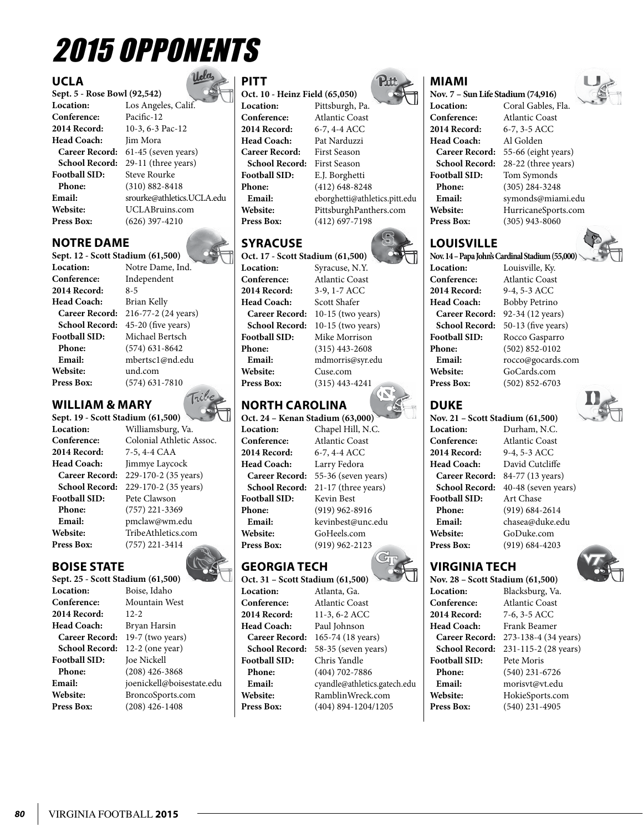# 2015 Opponents

### **UCLA**

**Sept. 5 - Rose Bowl (92,542) Conference: 2014 Record:** 10-3, 6-3 Pac-12 **Head Coach: Football SID:** Steve Rourke **Phone:** (310) 882-8418

**Location:** Los Angeles, Calif.<br>**Conference:** Pacific-12 **Career Record:** 61-45 (seven years) **School Record:** 29-11 (three years) **Email:** srourke@athletics.UCLA.edu **Website:** UCLABruins.com **Press Box:** (626) 397-4210

### **Notre dame**

#### **Sept. 12 - Scott Stadium (61,500) Location:** Notre Dame, Ind.

**Conference:** Independent **2014 Record:** 8-5 Head Coach: Brian Kelly **Website:** und.com

**Career Record:** 216-77-2 (24 years) **School Record:** 45-20 (five years) **Football SID:** Michael Bertsch **Phone:** (574) 631-8642 **Email:** mbertsc1@nd.edu **Press Box:** (574) 631-7810

## **William & Mary**

**Sept. 19 - Scott Stadium (61,500) 2014 Record:** 7-5, 4-4 CAA **Football SID:** Pete Clawson **Phone:** (757) 221-3369

**Location:** Williamsburg, Va. **Conference:** Colonial Athletic Assoc. **Himmye Laycock Career Record:** 229-170-2 (35 years) **School Record:** 229-170-2 (35 years) **Email:** pmclaw@wm.edu<br>Website: TribeAthletics.cor **Website:** TribeAthletics.com **Press Box:** (757) 221-3414

## **boise state**

**Sept. 25 - Scott Stadium (61,500) Location:** Boise, Idaho<br> **Conference:** Mountain W **Conference:** Mountain West **2014 Record:** 12-2 **Head Coach:** Bryan Harsin **Career Record:** 19-7 (two years) **School Record:** 12-2 (one year) **Football SID:** Joe Nickell **Phone:** (208) 426-3868 **Email:** joenickell@boisestate.edu **Website:** BroncoSports.com **Press Box:** (208) 426-1408

## **PITT**

**Oct. 10 - Heinz Field (65,050) Location:** Pittsburgh, Pa. **Conference:** Atlantic Coast **2014 Record:** 6-7, 4-4 ACC **Head Coach:** Pat Narduzzi **Career Record:** First Season **School Record:** First Season **Football SID:** E.J. Borghetti **Phone:** (412) 648-8248 **Email:** eborghetti@athletics.pitt.edu **Website:** PittsburghPanthers.com **Press Box:** (412) 697-7198

## **syracuse**

**Oct. 17 - Scott Stadium (61,500) Location:** Syracuse, N.Y. **Conference:** Atlantic Coast **2014 Record:** 3-9, 1-7 ACC Head Coach: Scott Shafer **Phone:** (315) 443-2608 **Website:** Cuse.com **Press Box:** (315) 443-4241

**Career Record:** 10-15 (two years) **School Record:** 10-15 (two years)<br>**Football SID:** Mike Morrison **Mike Morrison Email:** mdmorris@syr.edu

## **North Carolina**

**Oct. 24 – Kenan Stadium (63,000) Location:** Chapel Hill, N.C. **Conference:** Atlantic Coast **2014 Record:** 6-7, 4-4 ACC **Head Coach:** Larry Fedora **Football SID:** Kevin Best **Website:** GoHeels.com **Press Box:** (919) 962-2123

**Career Record:** 55-36 (seven years) **School Record:** 21-17 (three years) **Phone:** (919) 962-8916 **Email:** kevinbest@unc.edu

## **Georgia Tech**

**Oct. 31 – Scott Stadium (61,500) Location:** Atlanta, Ga. **Conference:** Atlantic Coast **2014 Record:** 11-3, 6-2 ACC **Head Coach:** Paul Johnson **Football SID:** Chris Yandle **Phone:** (404) 702-7886 **Press Box:** (404) 894-1204/1205

**Career Record:** 165-74 (18 years) **School Record:** 58-35 (seven years) **Email:** cyandle@athletics.gatech.edu **Website:** RamblinWreck.com



## **Miami**

**Nov. 7 – Sun Life Stadium (74,916)**

**Location:** Coral Gables, Fla. **Conference:** Atlantic Coast



**2014 Record:** 6-7, 3-5 ACC **Head Coach:** Al Golden **Career Record:** 55-66 (eight years) **School Record:** 28-22 (three years) **Football SID:** Tom Symonds **Phone:** (305) 284-3248 **Email:** symonds@miami.edu **Website:** HurricaneSports.com **Press Box:** (305) 943-8060



**Nov. 14 – Papa John's Cardinal Stadium (55,000) Location:** Louisville, Ky. **Conference:** Atlantic Coast **2014 Record:** 9-4, 5-3 ACC **Head Coach:** Bobby Petrino **Career Record:** 92-34 (12 years) **School Record:** 50-13 (five years)<br>**Football SID:** Rocco Gasparro **Phone:** (502) 852-0102 **Website:** GoCards.com **Press Box:** (502) 852-6703

**Football SID:** Rocco Gasparro **Email:** rocco@gocards.com



**Nov. 21 – Scott Stadium (61,500) Location:** Durham, N.C. **Conference:** Atlantic Coast **2014 Record:** 9-4, 5-3 ACC **Head Coach:** David Cutcliffe **Career Record:** 84-77 (13 years) **School Record:** 40-48 (seven years) **Football SID:** Art Chase **Phone:** (919) 684-2614 **Email:** chasea@duke.edu **Website:** GoDuke.com **Press Box:** (919) 684-4203

**VIRGINIA TECH**

**Nov. 28 – Scott Stadium (61,500) Location:** Blacksburg, Va. **Conference:** Atlantic Coast<br>2014 Record: 7-6, 3-5 ACC **2014 Record:** 7-6, 3-5 ACC **Head Coach:** Frank Beamer **Career Record:** 273-138-4 (34 years) **School Record:** 231-115-2 (28 years) **Football SID:** Pete Moris **Phone:** (540) 231-6726 **Email:** morisvt@vt.edu **Website:** HokieSports.com **Press Box:** (540) 231-4905